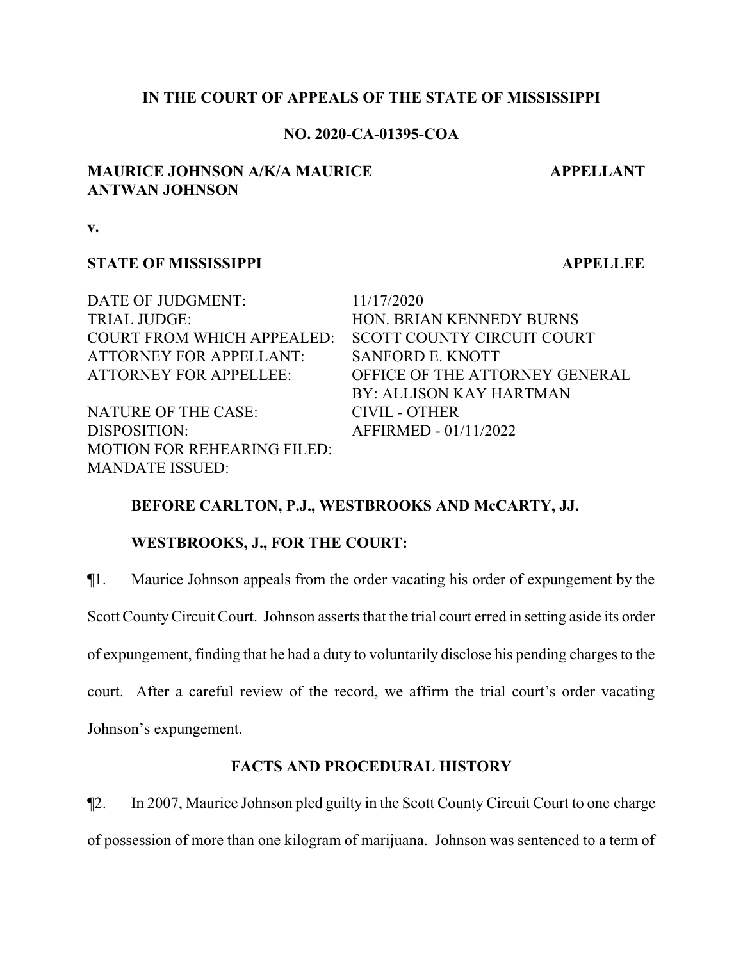## **IN THE COURT OF APPEALS OF THE STATE OF MISSISSIPPI**

## **NO. 2020-CA-01395-COA**

## **MAURICE JOHNSON A/K/A MAURICE ANTWAN JOHNSON**

 **APPELLANT**

**v.**

## **STATE OF MISSISSIPPI APPELLEE**

DATE OF JUDGMENT: 11/17/2020 TRIAL JUDGE: HON. BRIAN KENNEDY BURNS COURT FROM WHICH APPEALED: SCOTT COUNTY CIRCUIT COURT ATTORNEY FOR APPELLANT: SANFORD E. KNOTT

NATURE OF THE CASE: CIVIL - OTHER DISPOSITION: AFFIRMED - 01/11/2022 MOTION FOR REHEARING FILED: MANDATE ISSUED:

ATTORNEY FOR APPELLEE: OFFICE OF THE ATTORNEY GENERAL BY: ALLISON KAY HARTMAN

# **BEFORE CARLTON, P.J., WESTBROOKS AND McCARTY, JJ.**

# **WESTBROOKS, J., FOR THE COURT:**

¶1. Maurice Johnson appeals from the order vacating his order of expungement by the

Scott CountyCircuit Court. Johnson asserts that the trial court erred in setting aside its order

of expungement, finding that he had a duty to voluntarily disclose his pending charges to the

court. After a careful review of the record, we affirm the trial court's order vacating

Johnson's expungement.

# **FACTS AND PROCEDURAL HISTORY**

¶2. In 2007, Maurice Johnson pled guilty in the Scott CountyCircuit Court to one charge of possession of more than one kilogram of marijuana. Johnson was sentenced to a term of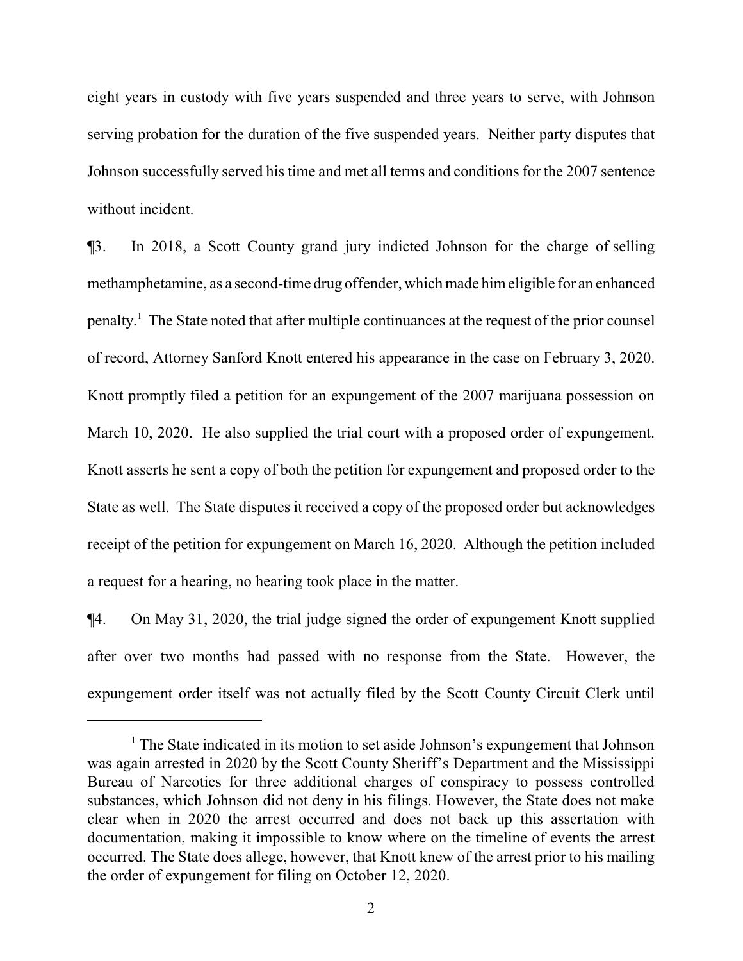eight years in custody with five years suspended and three years to serve, with Johnson serving probation for the duration of the five suspended years. Neither party disputes that Johnson successfully served his time and met all terms and conditions for the 2007 sentence without incident.

¶3. In 2018, a Scott County grand jury indicted Johnson for the charge of selling methamphetamine, as a second-time drug offender, which made himeligible for an enhanced penalty.<sup>1</sup> The State noted that after multiple continuances at the request of the prior counsel of record, Attorney Sanford Knott entered his appearance in the case on February 3, 2020. Knott promptly filed a petition for an expungement of the 2007 marijuana possession on March 10, 2020. He also supplied the trial court with a proposed order of expungement. Knott asserts he sent a copy of both the petition for expungement and proposed order to the State as well. The State disputes it received a copy of the proposed order but acknowledges receipt of the petition for expungement on March 16, 2020. Although the petition included a request for a hearing, no hearing took place in the matter.

¶4. On May 31, 2020, the trial judge signed the order of expungement Knott supplied after over two months had passed with no response from the State. However, the expungement order itself was not actually filed by the Scott County Circuit Clerk until

<sup>&</sup>lt;sup>1</sup> The State indicated in its motion to set aside Johnson's expungement that Johnson was again arrested in 2020 by the Scott County Sheriff's Department and the Mississippi Bureau of Narcotics for three additional charges of conspiracy to possess controlled substances, which Johnson did not deny in his filings. However, the State does not make clear when in 2020 the arrest occurred and does not back up this assertation with documentation, making it impossible to know where on the timeline of events the arrest occurred. The State does allege, however, that Knott knew of the arrest prior to his mailing the order of expungement for filing on October 12, 2020.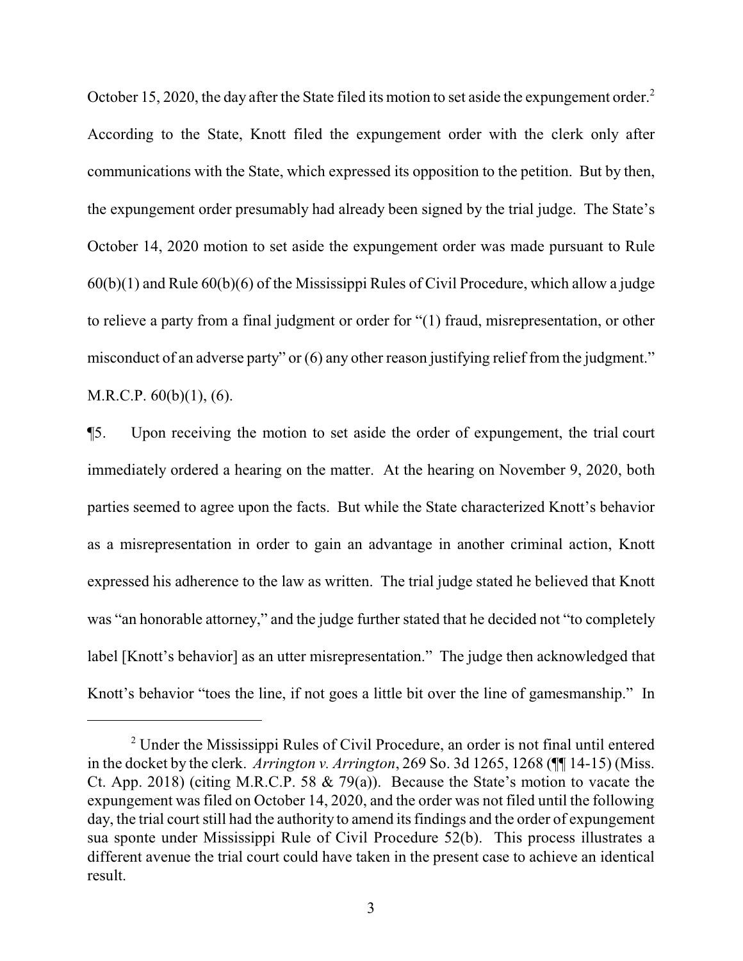October 15, 2020, the day after the State filed its motion to set aside the expungement order.<sup>2</sup> According to the State, Knott filed the expungement order with the clerk only after communications with the State, which expressed its opposition to the petition. But by then, the expungement order presumably had already been signed by the trial judge. The State's October 14, 2020 motion to set aside the expungement order was made pursuant to Rule  $60(b)(1)$  and Rule  $60(b)(6)$  of the Mississippi Rules of Civil Procedure, which allow a judge to relieve a party from a final judgment or order for "(1) fraud, misrepresentation, or other misconduct of an adverse party" or (6) any other reason justifying relief from the judgment." M.R.C.P. 60(b)(1), (6).

¶5. Upon receiving the motion to set aside the order of expungement, the trial court immediately ordered a hearing on the matter. At the hearing on November 9, 2020, both parties seemed to agree upon the facts. But while the State characterized Knott's behavior as a misrepresentation in order to gain an advantage in another criminal action, Knott expressed his adherence to the law as written. The trial judge stated he believed that Knott was "an honorable attorney," and the judge further stated that he decided not "to completely label [Knott's behavior] as an utter misrepresentation." The judge then acknowledged that Knott's behavior "toes the line, if not goes a little bit over the line of gamesmanship." In

<sup>&</sup>lt;sup>2</sup> Under the Mississippi Rules of Civil Procedure, an order is not final until entered in the docket by the clerk. *Arrington v. Arrington*, 269 So. 3d 1265, 1268 (¶¶ 14-15) (Miss. Ct. App. 2018) (citing M.R.C.P. 58 & 79(a)). Because the State's motion to vacate the expungement was filed on October 14, 2020, and the order was not filed until the following day, the trial court still had the authority to amend its findings and the order of expungement sua sponte under Mississippi Rule of Civil Procedure 52(b). This process illustrates a different avenue the trial court could have taken in the present case to achieve an identical result.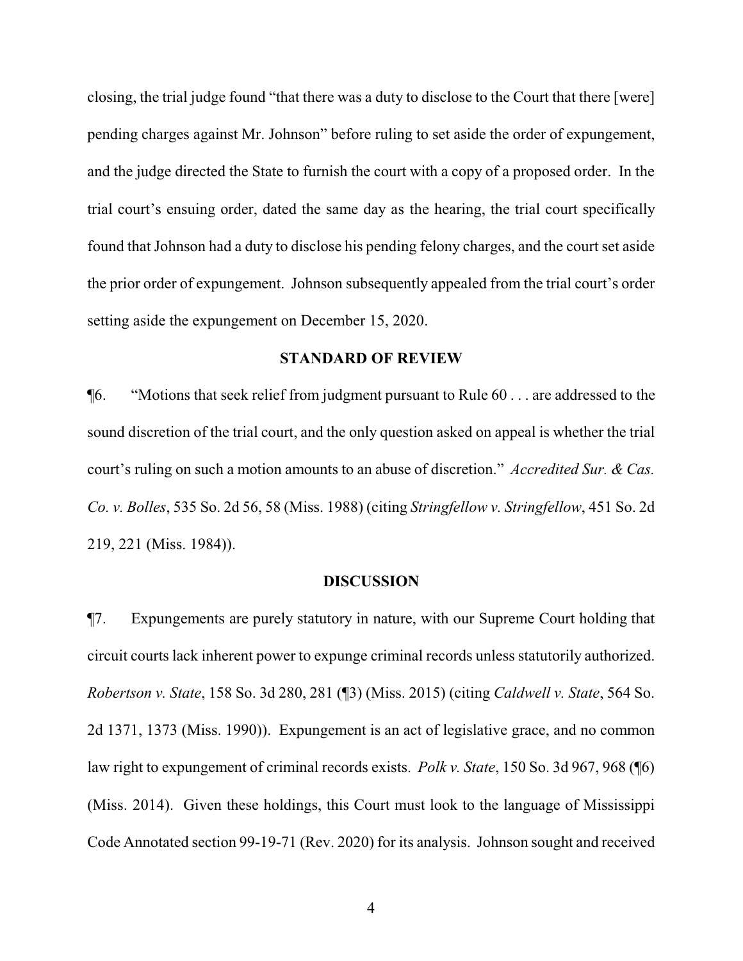closing, the trial judge found "that there was a duty to disclose to the Court that there [were] pending charges against Mr. Johnson" before ruling to set aside the order of expungement, and the judge directed the State to furnish the court with a copy of a proposed order. In the trial court's ensuing order, dated the same day as the hearing, the trial court specifically found that Johnson had a duty to disclose his pending felony charges, and the court set aside the prior order of expungement. Johnson subsequently appealed from the trial court's order setting aside the expungement on December 15, 2020.

### **STANDARD OF REVIEW**

¶6. "Motions that seek relief from judgment pursuant to Rule 60 . . . are addressed to the sound discretion of the trial court, and the only question asked on appeal is whether the trial court's ruling on such a motion amounts to an abuse of discretion." *Accredited Sur. & Cas. Co. v. Bolles*, 535 So. 2d 56, 58 (Miss. 1988) (citing *Stringfellow v. Stringfellow*, 451 So. 2d 219, 221 (Miss. 1984)).

#### **DISCUSSION**

¶7. Expungements are purely statutory in nature, with our Supreme Court holding that circuit courts lack inherent power to expunge criminal records unless statutorily authorized. *Robertson v. State*, 158 So. 3d 280, 281 (¶3) (Miss. 2015) (citing *Caldwell v. State*, 564 So. 2d 1371, 1373 (Miss. 1990)). Expungement is an act of legislative grace, and no common law right to expungement of criminal records exists. *Polk v. State*, 150 So. 3d 967, 968 (¶6) (Miss. 2014). Given these holdings, this Court must look to the language of Mississippi Code Annotated section 99-19-71 (Rev. 2020) for its analysis. Johnson sought and received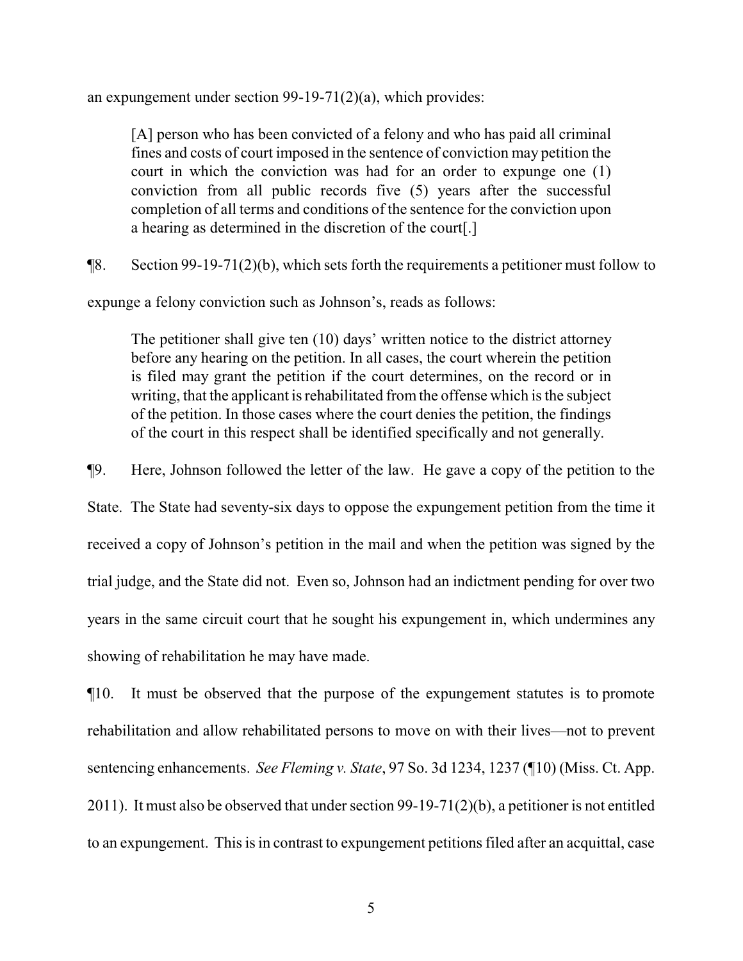an expungement under section 99-19-71(2)(a), which provides:

[A] person who has been convicted of a felony and who has paid all criminal fines and costs of court imposed in the sentence of conviction may petition the court in which the conviction was had for an order to expunge one (1) conviction from all public records five (5) years after the successful completion of all terms and conditions of the sentence for the conviction upon a hearing as determined in the discretion of the court[.]

¶8. Section 99-19-71(2)(b), which sets forth the requirements a petitioner must follow to

expunge a felony conviction such as Johnson's, reads as follows:

The petitioner shall give ten (10) days' written notice to the district attorney before any hearing on the petition. In all cases, the court wherein the petition is filed may grant the petition if the court determines, on the record or in writing, that the applicant is rehabilitated from the offense which is the subject of the petition. In those cases where the court denies the petition, the findings of the court in this respect shall be identified specifically and not generally.

¶9. Here, Johnson followed the letter of the law. He gave a copy of the petition to the

State. The State had seventy-six days to oppose the expungement petition from the time it received a copy of Johnson's petition in the mail and when the petition was signed by the trial judge, and the State did not. Even so, Johnson had an indictment pending for over two years in the same circuit court that he sought his expungement in, which undermines any showing of rehabilitation he may have made.

¶10. It must be observed that the purpose of the expungement statutes is to promote rehabilitation and allow rehabilitated persons to move on with their lives—not to prevent sentencing enhancements. *See Fleming v. State*, 97 So. 3d 1234, 1237 (¶10) (Miss. Ct. App. 2011). It must also be observed that under section 99-19-71(2)(b), a petitioner is not entitled to an expungement. This is in contrast to expungement petitions filed after an acquittal, case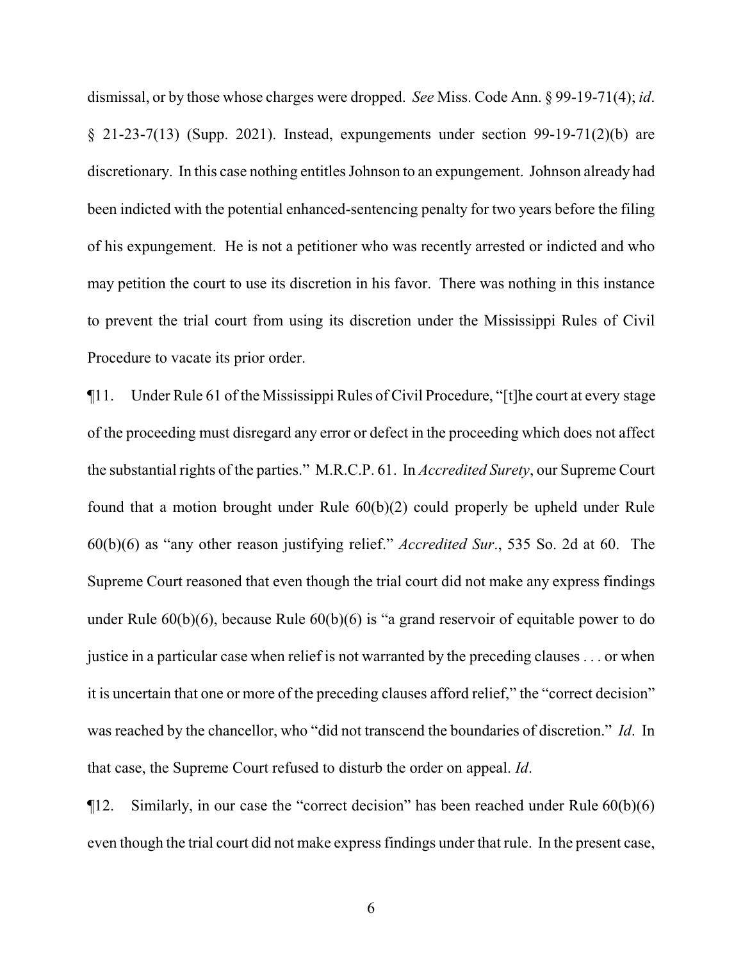dismissal, or by those whose charges were dropped. *See* Miss. Code Ann. § 99-19-71(4); *id*. § 21-23-7(13) (Supp. 2021). Instead, expungements under section 99-19-71(2)(b) are discretionary. In this case nothing entitles Johnson to an expungement. Johnson already had been indicted with the potential enhanced-sentencing penalty for two years before the filing of his expungement. He is not a petitioner who was recently arrested or indicted and who may petition the court to use its discretion in his favor. There was nothing in this instance to prevent the trial court from using its discretion under the Mississippi Rules of Civil Procedure to vacate its prior order.

¶11. Under Rule 61 of the Mississippi Rules of Civil Procedure, "[t]he court at every stage of the proceeding must disregard any error or defect in the proceeding which does not affect the substantial rights of the parties." M.R.C.P. 61. In *Accredited Surety*, our Supreme Court found that a motion brought under Rule 60(b)(2) could properly be upheld under Rule 60(b)(6) as "any other reason justifying relief." *Accredited Sur*., 535 So. 2d at 60. The Supreme Court reasoned that even though the trial court did not make any express findings under Rule 60(b)(6), because Rule 60(b)(6) is "a grand reservoir of equitable power to do justice in a particular case when relief is not warranted by the preceding clauses . . . or when it is uncertain that one or more of the preceding clauses afford relief," the "correct decision" was reached by the chancellor, who "did not transcend the boundaries of discretion." *Id*. In that case, the Supreme Court refused to disturb the order on appeal. *Id*.

 $\P$ 12. Similarly, in our case the "correct decision" has been reached under Rule  $60(b)(6)$ even though the trial court did not make express findings under that rule. In the present case,